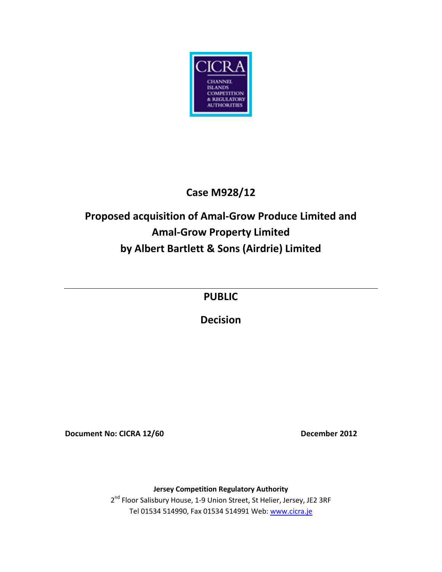

## **Case M928/12**

# **Proposed acquisition of Amal-Grow Produce Limited and Amal-Grow Property Limited by Albert Bartlett & Sons (Airdrie) Limited**

**PUBLIC**

**Decision**

**Document No: CICRA 12/60** December 2012

**Jersey Competition Regulatory Authority** 2<sup>nd</sup> Floor Salisbury House, 1-9 Union Street, St Helier, Jersey, JE2 3RF Tel 01534 514990, Fax 01534 514991 Web[: www.cicra.je](http://www.cicra.je/)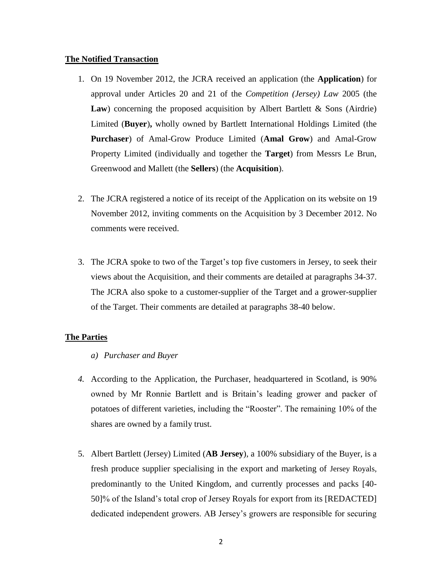#### **The Notified Transaction**

- 1. On 19 November 2012, the JCRA received an application (the **Application**) for approval under Articles 20 and 21 of the *Competition (Jersey) Law* 2005 (the Law) concerning the proposed acquisition by Albert Bartlett & Sons (Airdrie) Limited (**Buyer**)**,** wholly owned by Bartlett International Holdings Limited (the **Purchaser**) of Amal-Grow Produce Limited (**Amal Grow**) and Amal-Grow Property Limited (individually and together the **Target**) from Messrs Le Brun, Greenwood and Mallett (the **Sellers**) (the **Acquisition**).
- 2. The JCRA registered a notice of its receipt of the Application on its website on 19 November 2012, inviting comments on the Acquisition by 3 December 2012. No comments were received.
- 3. The JCRA spoke to two of the Target's top five customers in Jersey, to seek their views about the Acquisition, and their comments are detailed at paragraphs 34-37. The JCRA also spoke to a customer-supplier of the Target and a grower-supplier of the Target. Their comments are detailed at paragraphs 38-40 below.

### **The Parties**

- *a) Purchaser and Buyer*
- *4.* According to the Application, the Purchaser, headquartered in Scotland, is 90% owned by Mr Ronnie Bartlett and is Britain's leading grower and packer of potatoes of different varieties, including the "Rooster". The remaining 10% of the shares are owned by a family trust.
- 5. Albert Bartlett (Jersey) Limited (**AB Jersey**), a 100% subsidiary of the Buyer, is a fresh produce supplier specialising in the export and marketing of Jersey Royals, predominantly to the United Kingdom, and currently processes and packs [40- 50]% of the Island's total crop of Jersey Royals for export from its [REDACTED] dedicated independent growers. AB Jersey's growers are responsible for securing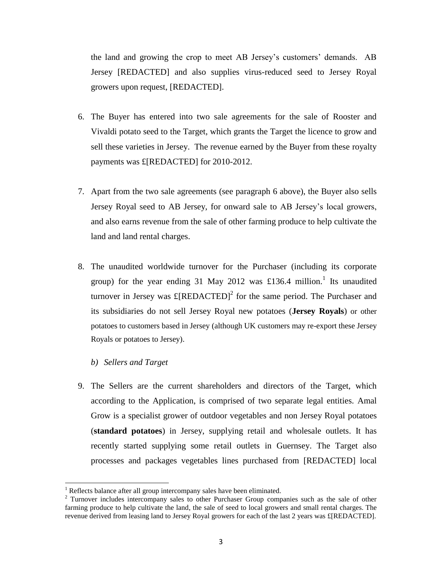the land and growing the crop to meet AB Jersey's customers' demands. AB Jersey [REDACTED] and also supplies virus-reduced seed to Jersey Royal growers upon request, [REDACTED].

- 6. The Buyer has entered into two sale agreements for the sale of Rooster and Vivaldi potato seed to the Target, which grants the Target the licence to grow and sell these varieties in Jersey. The revenue earned by the Buyer from these royalty payments was £[REDACTED] for 2010-2012.
- 7. Apart from the two sale agreements (see paragraph 6 above), the Buyer also sells Jersey Royal seed to AB Jersey, for onward sale to AB Jersey's local growers, and also earns revenue from the sale of other farming produce to help cultivate the land and land rental charges.
- 8. The unaudited worldwide turnover for the Purchaser (including its corporate group) for the year ending 31 May 2012 was £136.4 million.<sup>1</sup> Its unaudited turnover in Jersey was  $\pounds$ [REDACTED]<sup>2</sup> for the same period. The Purchaser and its subsidiaries do not sell Jersey Royal new potatoes (**Jersey Royals**) or other potatoes to customers based in Jersey (although UK customers may re-export these Jersey Royals or potatoes to Jersey).
	- *b) Sellers and Target*

 $\overline{\phantom{a}}$ 

9. The Sellers are the current shareholders and directors of the Target, which according to the Application, is comprised of two separate legal entities. Amal Grow is a specialist grower of outdoor vegetables and non Jersey Royal potatoes (**standard potatoes**) in Jersey, supplying retail and wholesale outlets. It has recently started supplying some retail outlets in Guernsey. The Target also processes and packages vegetables lines purchased from [REDACTED] local

<sup>&</sup>lt;sup>1</sup> Reflects balance after all group intercompany sales have been eliminated.

<sup>&</sup>lt;sup>2</sup> Turnover includes intercompany sales to other Purchaser Group companies such as the sale of other farming produce to help cultivate the land, the sale of seed to local growers and small rental charges. The revenue derived from leasing land to Jersey Royal growers for each of the last 2 years was £[REDACTED].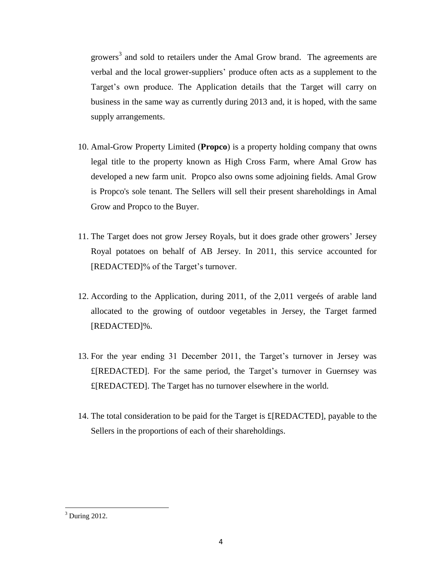growers<sup>3</sup> and sold to retailers under the Amal Grow brand. The agreements are verbal and the local grower-suppliers' produce often acts as a supplement to the Target's own produce. The Application details that the Target will carry on business in the same way as currently during 2013 and, it is hoped, with the same supply arrangements.

- 10. Amal-Grow Property Limited (**Propco**) is a property holding company that owns legal title to the property known as High Cross Farm, where Amal Grow has developed a new farm unit. Propco also owns some adjoining fields. Amal Grow is Propco's sole tenant. The Sellers will sell their present shareholdings in Amal Grow and Propco to the Buyer.
- 11. The Target does not grow Jersey Royals, but it does grade other growers' Jersey Royal potatoes on behalf of AB Jersey. In 2011, this service accounted for [REDACTED]% of the Target's turnover.
- 12. According to the Application, during 2011, of the 2,011 vergeés of arable land allocated to the growing of outdoor vegetables in Jersey, the Target farmed [REDACTED]%.
- 13. For the year ending 31 December 2011, the Target's turnover in Jersey was £[REDACTED]. For the same period, the Target's turnover in Guernsey was £[REDACTED]. The Target has no turnover elsewhere in the world.
- 14. The total consideration to be paid for the Target is  $E[REDACTED]$ , payable to the Sellers in the proportions of each of their shareholdings.

 $3$  During 2012.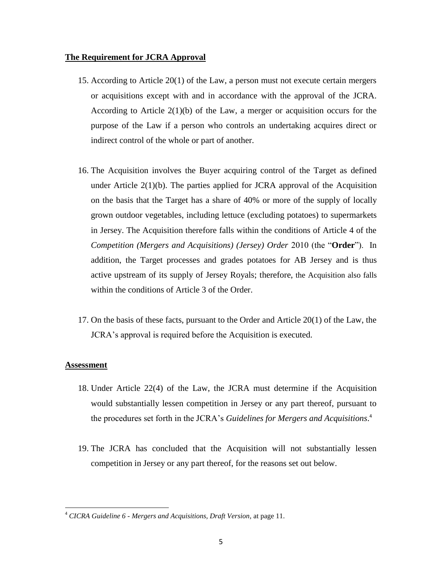#### **The Requirement for JCRA Approval**

- 15. According to Article 20(1) of the Law, a person must not execute certain mergers or acquisitions except with and in accordance with the approval of the JCRA. According to Article  $2(1)(b)$  of the Law, a merger or acquisition occurs for the purpose of the Law if a person who controls an undertaking acquires direct or indirect control of the whole or part of another.
- 16. The Acquisition involves the Buyer acquiring control of the Target as defined under Article  $2(1)(b)$ . The parties applied for JCRA approval of the Acquisition on the basis that the Target has a share of 40% or more of the supply of locally grown outdoor vegetables, including lettuce (excluding potatoes) to supermarkets in Jersey. The Acquisition therefore falls within the conditions of Article 4 of the *Competition (Mergers and Acquisitions) (Jersey) Order* 2010 (the "**Order**"). In addition, the Target processes and grades potatoes for AB Jersey and is thus active upstream of its supply of Jersey Royals; therefore, the Acquisition also falls within the conditions of Article 3 of the Order.
- 17. On the basis of these facts, pursuant to the Order and Article 20(1) of the Law, the JCRA's approval is required before the Acquisition is executed.

#### **Assessment**

- 18. Under Article 22(4) of the Law, the JCRA must determine if the Acquisition would substantially lessen competition in Jersey or any part thereof, pursuant to the procedures set forth in the JCRA's *Guidelines for Mergers and Acquisitions*. 4
- 19. The JCRA has concluded that the Acquisition will not substantially lessen competition in Jersey or any part thereof, for the reasons set out below.

<sup>4</sup> *CICRA Guideline 6 - Mergers and Acquisitions, Draft Version,* at page 11.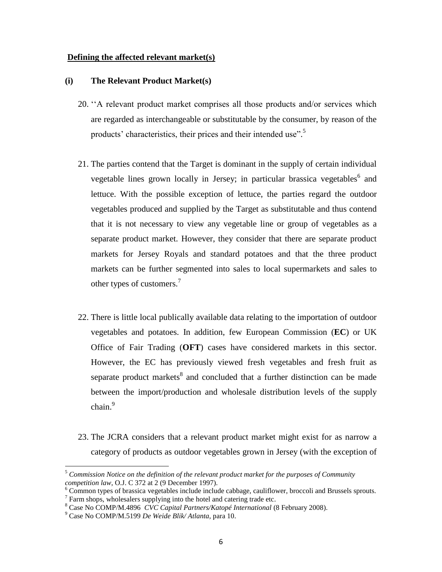#### **Defining the affected relevant market(s)**

#### **(i) The Relevant Product Market(s)**

- 20. ''A relevant product market comprises all those products and/or services which are regarded as interchangeable or substitutable by the consumer, by reason of the products' characteristics, their prices and their intended use".<sup>5</sup>
- 21. The parties contend that the Target is dominant in the supply of certain individual vegetable lines grown locally in Jersey; in particular brassica vegetables<sup>6</sup> and lettuce. With the possible exception of lettuce, the parties regard the outdoor vegetables produced and supplied by the Target as substitutable and thus contend that it is not necessary to view any vegetable line or group of vegetables as a separate product market. However, they consider that there are separate product markets for Jersey Royals and standard potatoes and that the three product markets can be further segmented into sales to local supermarkets and sales to other types of customers.<sup>7</sup>
- 22. There is little local publically available data relating to the importation of outdoor vegetables and potatoes. In addition, few European Commission (**EC**) or UK Office of Fair Trading (**OFT**) cases have considered markets in this sector. However, the EC has previously viewed fresh vegetables and fresh fruit as separate product markets<sup>8</sup> and concluded that a further distinction can be made between the import/production and wholesale distribution levels of the supply chain. 9
- 23. The JCRA considers that a relevant product market might exist for as narrow a category of products as outdoor vegetables grown in Jersey (with the exception of

l

<sup>5</sup> *Commission Notice on the definition of the relevant product market for the purposes of Community competition law*, O.J. C 372 at 2 (9 December 1997).

<sup>&</sup>lt;sup>6</sup> Common types of brassica vegetables include include cabbage, cauliflower, broccoli and Brussels sprouts.  $7$  Farm shops, wholesalers supplying into the hotel and catering trade etc.

<sup>8</sup> Case No COMP/M.4896 *CVC Capital Partners/Katopé International* (8 February 2008).

<sup>9</sup> Case No COMP/M.5199 *De Weide Blik/ Atlanta,* para 10.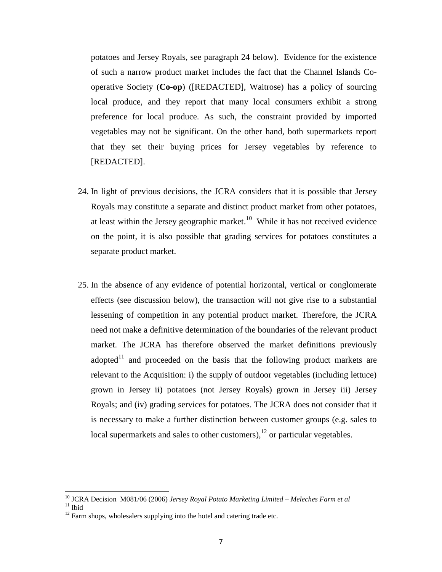potatoes and Jersey Royals, see paragraph 24 below). Evidence for the existence of such a narrow product market includes the fact that the Channel Islands Cooperative Society (**Co-op**) ([REDACTED], Waitrose) has a policy of sourcing local produce, and they report that many local consumers exhibit a strong preference for local produce. As such, the constraint provided by imported vegetables may not be significant. On the other hand, both supermarkets report that they set their buying prices for Jersey vegetables by reference to [REDACTED].

- 24. In light of previous decisions, the JCRA considers that it is possible that Jersey Royals may constitute a separate and distinct product market from other potatoes, at least within the Jersey geographic market.<sup>10</sup> While it has not received evidence on the point, it is also possible that grading services for potatoes constitutes a separate product market.
- 25. In the absence of any evidence of potential horizontal, vertical or conglomerate effects (see discussion below), the transaction will not give rise to a substantial lessening of competition in any potential product market. Therefore, the JCRA need not make a definitive determination of the boundaries of the relevant product market. The JCRA has therefore observed the market definitions previously adopted $11$  and proceeded on the basis that the following product markets are relevant to the Acquisition: i) the supply of outdoor vegetables (including lettuce) grown in Jersey ii) potatoes (not Jersey Royals) grown in Jersey iii) Jersey Royals; and (iv) grading services for potatoes. The JCRA does not consider that it is necessary to make a further distinction between customer groups (e.g. sales to local supermarkets and sales to other customers), $^{12}$  or particular vegetables.

<sup>10</sup> JCRA Decision M081/06 (2006) *Jersey Royal Potato Marketing Limited – Meleches Farm et al*

 $11$  Ibid

 $12$  Farm shops, wholesalers supplying into the hotel and catering trade etc.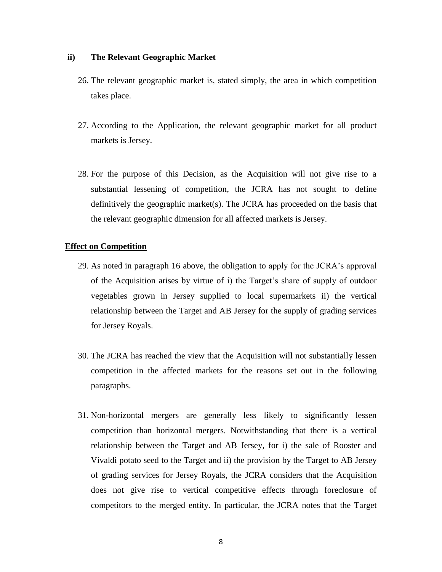#### **ii) The Relevant Geographic Market**

- 26. The relevant geographic market is, stated simply, the area in which competition takes place.
- 27. According to the Application, the relevant geographic market for all product markets is Jersey.
- 28. For the purpose of this Decision, as the Acquisition will not give rise to a substantial lessening of competition, the JCRA has not sought to define definitively the geographic market(s). The JCRA has proceeded on the basis that the relevant geographic dimension for all affected markets is Jersey.

#### **Effect on Competition**

- 29. As noted in paragraph 16 above, the obligation to apply for the JCRA's approval of the Acquisition arises by virtue of i) the Target's share of supply of outdoor vegetables grown in Jersey supplied to local supermarkets ii) the vertical relationship between the Target and AB Jersey for the supply of grading services for Jersey Royals.
- 30. The JCRA has reached the view that the Acquisition will not substantially lessen competition in the affected markets for the reasons set out in the following paragraphs.
- 31. Non-horizontal mergers are generally less likely to significantly lessen competition than horizontal mergers. Notwithstanding that there is a vertical relationship between the Target and AB Jersey, for i) the sale of Rooster and Vivaldi potato seed to the Target and ii) the provision by the Target to AB Jersey of grading services for Jersey Royals, the JCRA considers that the Acquisition does not give rise to vertical competitive effects through foreclosure of competitors to the merged entity. In particular, the JCRA notes that the Target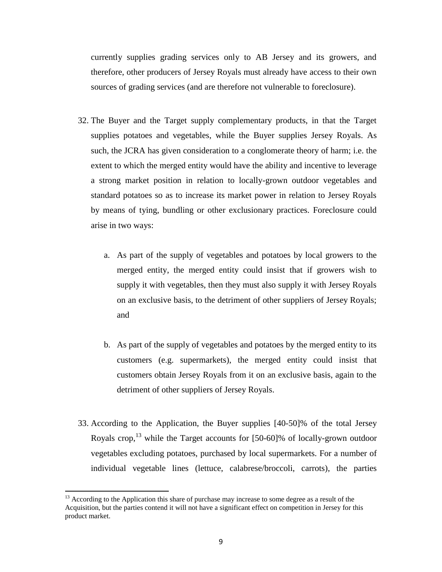currently supplies grading services only to AB Jersey and its growers, and therefore, other producers of Jersey Royals must already have access to their own sources of grading services (and are therefore not vulnerable to foreclosure).

- 32. The Buyer and the Target supply complementary products, in that the Target supplies potatoes and vegetables, while the Buyer supplies Jersey Royals. As such, the JCRA has given consideration to a conglomerate theory of harm; i.e. the extent to which the merged entity would have the ability and incentive to leverage a strong market position in relation to locally-grown outdoor vegetables and standard potatoes so as to increase its market power in relation to Jersey Royals by means of tying, bundling or other exclusionary practices. Foreclosure could arise in two ways:
	- a. As part of the supply of vegetables and potatoes by local growers to the merged entity, the merged entity could insist that if growers wish to supply it with vegetables, then they must also supply it with Jersey Royals on an exclusive basis, to the detriment of other suppliers of Jersey Royals; and
	- b. As part of the supply of vegetables and potatoes by the merged entity to its customers (e.g. supermarkets), the merged entity could insist that customers obtain Jersey Royals from it on an exclusive basis, again to the detriment of other suppliers of Jersey Royals.
- 33. According to the Application, the Buyer supplies [40-50]% of the total Jersey Royals crop,  $^{13}$  while the Target accounts for [50-60]% of locally-grown outdoor vegetables excluding potatoes, purchased by local supermarkets. For a number of individual vegetable lines (lettuce, calabrese/broccoli, carrots), the parties

<sup>&</sup>lt;sup>13</sup> According to the Application this share of purchase may increase to some degree as a result of the Acquisition, but the parties contend it will not have a significant effect on competition in Jersey for this product market.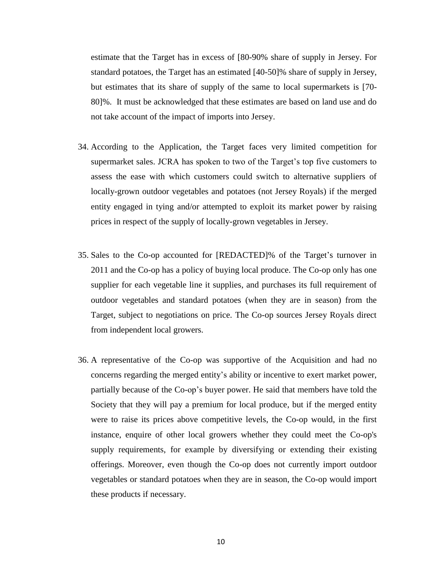estimate that the Target has in excess of [80-90% share of supply in Jersey. For standard potatoes, the Target has an estimated [40-50]% share of supply in Jersey, but estimates that its share of supply of the same to local supermarkets is [70- 80]%. It must be acknowledged that these estimates are based on land use and do not take account of the impact of imports into Jersey.

- 34. According to the Application, the Target faces very limited competition for supermarket sales. JCRA has spoken to two of the Target's top five customers to assess the ease with which customers could switch to alternative suppliers of locally-grown outdoor vegetables and potatoes (not Jersey Royals) if the merged entity engaged in tying and/or attempted to exploit its market power by raising prices in respect of the supply of locally-grown vegetables in Jersey.
- 35. Sales to the Co-op accounted for [REDACTED]% of the Target's turnover in 2011 and the Co-op has a policy of buying local produce. The Co-op only has one supplier for each vegetable line it supplies, and purchases its full requirement of outdoor vegetables and standard potatoes (when they are in season) from the Target, subject to negotiations on price. The Co-op sources Jersey Royals direct from independent local growers.
- 36. A representative of the Co-op was supportive of the Acquisition and had no concerns regarding the merged entity's ability or incentive to exert market power, partially because of the Co-op's buyer power. He said that members have told the Society that they will pay a premium for local produce, but if the merged entity were to raise its prices above competitive levels, the Co-op would, in the first instance, enquire of other local growers whether they could meet the Co-op's supply requirements, for example by diversifying or extending their existing offerings. Moreover, even though the Co-op does not currently import outdoor vegetables or standard potatoes when they are in season, the Co-op would import these products if necessary.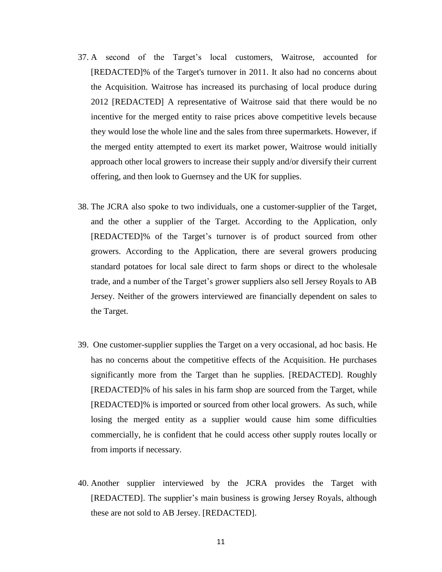- 37. A second of the Target's local customers, Waitrose, accounted for [REDACTED]% of the Target's turnover in 2011. It also had no concerns about the Acquisition. Waitrose has increased its purchasing of local produce during 2012 [REDACTED] A representative of Waitrose said that there would be no incentive for the merged entity to raise prices above competitive levels because they would lose the whole line and the sales from three supermarkets. However, if the merged entity attempted to exert its market power, Waitrose would initially approach other local growers to increase their supply and/or diversify their current offering, and then look to Guernsey and the UK for supplies.
- 38. The JCRA also spoke to two individuals, one a customer-supplier of the Target, and the other a supplier of the Target. According to the Application, only [REDACTED]% of the Target's turnover is of product sourced from other growers. According to the Application, there are several growers producing standard potatoes for local sale direct to farm shops or direct to the wholesale trade, and a number of the Target's grower suppliers also sell Jersey Royals to AB Jersey. Neither of the growers interviewed are financially dependent on sales to the Target.
- 39. One customer-supplier supplies the Target on a very occasional, ad hoc basis. He has no concerns about the competitive effects of the Acquisition. He purchases significantly more from the Target than he supplies. [REDACTED]. Roughly [REDACTED]% of his sales in his farm shop are sourced from the Target, while [REDACTED]% is imported or sourced from other local growers. As such, while losing the merged entity as a supplier would cause him some difficulties commercially, he is confident that he could access other supply routes locally or from imports if necessary.
- 40. Another supplier interviewed by the JCRA provides the Target with [REDACTED]. The supplier's main business is growing Jersey Royals, although these are not sold to AB Jersey. [REDACTED].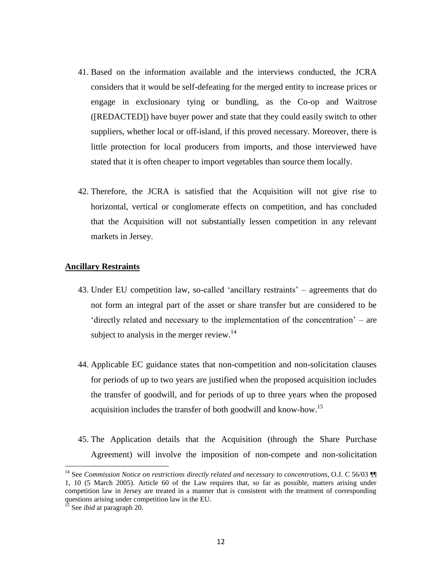- 41. Based on the information available and the interviews conducted, the JCRA considers that it would be self-defeating for the merged entity to increase prices or engage in exclusionary tying or bundling, as the Co-op and Waitrose ([REDACTED]) have buyer power and state that they could easily switch to other suppliers, whether local or off-island, if this proved necessary. Moreover, there is little protection for local producers from imports, and those interviewed have stated that it is often cheaper to import vegetables than source them locally.
- 42. Therefore, the JCRA is satisfied that the Acquisition will not give rise to horizontal, vertical or conglomerate effects on competition, and has concluded that the Acquisition will not substantially lessen competition in any relevant markets in Jersey.

#### **Ancillary Restraints**

- 43. Under EU competition law, so-called 'ancillary restraints' agreements that do not form an integral part of the asset or share transfer but are considered to be 'directly related and necessary to the implementation of the concentration' – are subject to analysis in the merger review.<sup>14</sup>
- 44. Applicable EC guidance states that non-competition and non-solicitation clauses for periods of up to two years are justified when the proposed acquisition includes the transfer of goodwill, and for periods of up to three years when the proposed acquisition includes the transfer of both goodwill and know-how.<sup>15</sup>
- 45. The Application details that the Acquisition (through the Share Purchase Agreement) will involve the imposition of non-compete and non-solicitation

l

<sup>14</sup> See *Commission Notice on restrictions directly related and necessary to concentrations*, O.J. C 56/03 ¶¶ 1, 10 (5 March 2005). Article 60 of the Law requires that, so far as possible, matters arising under competition law in Jersey are treated in a manner that is consistent with the treatment of corresponding questions arising under competition law in the EU.

<sup>&</sup>lt;sup>15</sup> See *ibid* at paragraph 20.